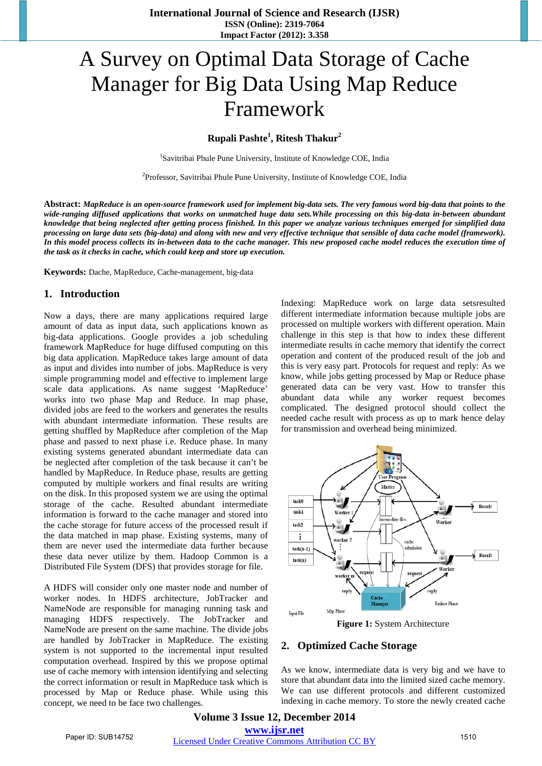# A Survey on Optimal Data Storage of Cache Manager for Big Data Using Map Reduce Framework

## **Rupali Pashte<sup>1</sup> , Ritesh Thakur<sup>2</sup>**

<sup>1</sup>Savitribai Phule Pune University, Institute of Knowledge COE, India

<sup>2</sup>Professor, Savitribai Phule Pune University, Institute of Knowledge COE, India

**Abstract:** *MapReduce is an open-source framework used for implement big-data sets. The very famous word big-data that points to the* wide-ranging diffused applications that works on unmatched huge data sets. While processing on this big-data in-between abundant knowledge that being neglected after getting process finished. In this paper we analyze various techniques emerged for simplified data processing on large data sets (big-data) and along with new and very effective technique that sensible of data cache model (framework). In this model process collects its in-between data to the cache manager. This new proposed cache model reduces the execution time of *the task as it checks in cache, which could keep and store up execution.*

**Keywords:** Dache, MapReduce, Cache-management, big-data

## **1. Introduction**

Now a days, there are many applications required large amount of data as input data, such applications known as big-data applications. Google provides a job scheduling framework MapReduce for huge diffused computing on this big data application. MapReduce takes large amount of data as input and divides into number of jobs. MapReduce is very simple programming model and effective to implement large scale data applications. As name suggest 'MapReduce' works into two phase Map and Reduce. In map phase, divided jobs are feed to the workers and generates the results with abundant intermediate information. These results are getting shuffled by MapReduce after completion of the Map phase and passed to next phase i.e. Reduce phase. In many existing systems generated abundant intermediate data can be neglected after completion of the task because it can't be handled by MapReduce. In Reduce phase, results are getting computed by multiple workers and final results are writing on the disk. In this proposed system we are using the optimal storage of the cache. Resulted abundant intermediate information is forward to the cache manager and stored into the cache storage for future access of the processed result if the data matched in map phase. Existing systems, many of them are never used the intermediate data further because these data never utilize by them. Hadoop Common is a Distributed File System (DFS) that provides storage for file.

A HDFS will consider only one master node and number of worker nodes. In HDFS architecture, JobTracker and NameNode are responsible for managing running task and managing HDFS respectively. The JobTracker and NameNode are present on the same machine. The divide jobs are handled by JobTracker in MapReduce. The existing system is not supported to the incremental input resulted computation overhead. Inspired by this we propose optimal use of cache memory with intension identifying and selecting the correct information or result in MapReduce task which is processed by Map or Reduce phase. While using this concept, we need to be face two challenges.

Indexing: MapReduce work on large data setsresulted different intermediate information because multiple jobs are processed on multiple workers with different operation. Main challenge in this step is that how to index these different intermediate results in cache memory that identify the correct operation and content of the produced result of the job and this is very easy part. Protocols for request and reply: As we know, while jobs getting processed by Map or Reduce phase generated data can be very vast. How to transfer this abundant data while any worker request becomes complicated. The designed protocol should collect the needed cache result with process as up to mark hence delay for transmission and overhead being minimized.



**Figure 1:** System Architecture

#### **2. Optimized Cache Storage**

As we know, intermediate data is very big and we have to store that abundant data into the limited sized cache memory. We can use different protocols and different customized indexing in cache memory. To store the newly created cache

**Volume 3 Issue 12, December 2014 www.ijsr.net** Paper ID: SUB14752 [Licensed Under Creative Commons Attribution CC BY](http://creativecommons.org/licenses/by/4.0/) 1510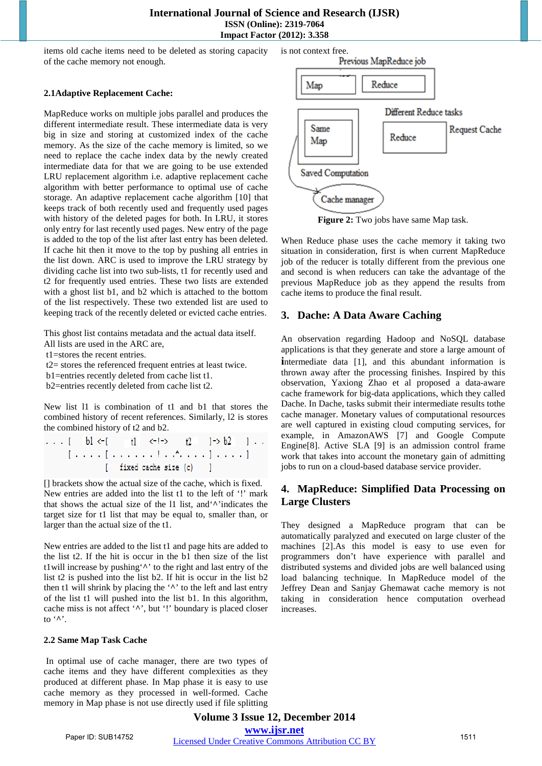#### **International Journal of Science and Research (IJSR) ISSN (Online): 2319-7064 Impact Factor (2012): 3.358**

items old cache items need to be deleted as storing capacity of the cache memory not enough.

#### **2.1Adaptive Replacement Cache:**

MapReduce works on multiple jobs parallel and produces the different intermediate result. These intermediate data is very big in size and storing at customized index of the cache memory. As the size of the cache memory is limited, so we need to replace the cache index data by the newly created intermediate data for that we are going to be use extended LRU replacement algorithm i.e. adaptive replacement cache algorithm with better performance to optimal use of cache storage. An adaptive replacement cache algorithm [10] that keeps track of both recently used and frequently used pages with history of the deleted pages for both. In LRU, it stores only entry for last recently used pages. New entry of the page is added to the top of the list after last entry has been deleted. If cache hit then it move to the top by pushing all entries in the list down. ARC is used to improve the LRU strategy by dividing cache list into two sub-lists, t1 for recently used and t2 for frequently used entries. These two lists are extended with a ghost list b1, and b2 which is attached to the bottom of the list respectively. These two extended list are used to keeping track of the recently deleted or evicted cache entries.

This ghost list contains metadata and the actual data itself.

All lists are used in the ARC are,

t1=stores the recent entries.

t2= stores the referenced frequent entries at least twice.

b1=entries recently deleted from cache list t1.

b2=entries recently deleted from cache list t2.

New list l1 is combination of t1 and b1 that stores the combined history of recent references. Similarly, l2 is stores the combined history of t2 and b2.

 $b1 \leftarrow 1$  $1.111$  $f1 < -1$  $t2$  $1 - 5b2 - 1$ . **Lease Lease and Lease and Lease** [ fixed cache size (c) 1

[] brackets show the actual size of the cache, which is fixed. New entries are added into the list t1 to the left of '!' mark that shows the actual size of the l1 list, and'**^**'indicates the target size for t1 list that may be equal to, smaller than, or larger than the actual size of the t1.

New entries are added to the list t1 and page hits are added to the list t2. If the hit is occur in the b1 then size of the list t1will increase by pushing'**^**' to the right and last entry of the list t2 is pushed into the list b2. If hit is occur in the list b2 then t1 will shrink by placing the '**^**' to the left and last entry of the list t1 will pushed into the list b1. In this algorithm, cache miss is not affect '**^**', but '!' boundary is placed closer to '**^**'.

#### **2.2 Same Map Task Cache**

In optimal use of cache manager, there are two types of cache items and they have different complexities as they produced at different phase. In Map phase it is easy to use cache memory as they processed in well-formed. Cache memory in Map phase is not use directly used if file splitting



**Figure 2:** Two jobs have same Map task.

When Reduce phase uses the cache memory it taking two situation in consideration, first is when current MapReduce job of the reducer is totally different from the previous one and second is when reducers can take the advantage of the previous MapReduce job as they append the results from cache items to produce the final result.

## **3. Dache: A Data Aware Caching**

An observation regarding Hadoop and NoSQL database applications is that they generate and store a large amount of **i**ntermediate data [1], and this abundant information is thrown away after the processing finishes. Inspired by this observation, Yaxiong Zhao et al proposed a data-aware cache framework for big-data applications, which they called Dache. In Dache, tasks submit their intermediate results tothe cache manager. Monetary values of computational resources are well captured in existing cloud computing services, for example, in AmazonAWS [7] and Google Compute Engine[8]. Active SLA [9] is an admission control frame work that takes into account the monetary gain of admitting jobs to run on a cloud-based database service provider.

## **4. MapReduce: Simplified Data Processing on Large Clusters**

They designed a MapReduce program that can be automatically paralyzed and executed on large cluster of the machines [2].As this model is easy to use even for programmers don't have experience with parallel and distributed systems and divided jobs are well balanced using load balancing technique. In MapReduce model of the Jeffrey Dean and Sanjay Ghemawat cache memory is not taking in consideration hence computation overhead increases.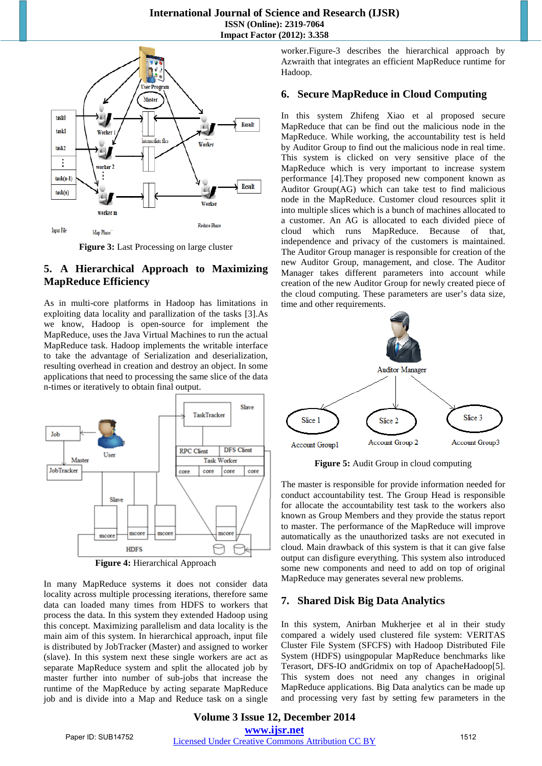## **International Journal of Science and Research (IJSR) ISSN (Online): 2319-7064 Impact Factor (2012): 3.358**



**Figure 3:** Last Processing on large cluster

# **5. A Hierarchical Approach to Maximizing MapReduce Efficiency**

As in multi-core platforms in Hadoop has limitations in exploiting data locality and parallization of the tasks [3].As we know, Hadoop is open-source for implement the MapReduce, uses the Java Virtual Machines to run the actual MapReduce task. Hadoop implements the writable interface to take the advantage of Serialization and deserialization, resulting overhead in creation and destroy an object. In some applications that need to processing the same slice of the data n-times or iteratively to obtain final output.



In many MapReduce systems it does not consider data locality across multiple processing iterations, therefore same data can loaded many times from HDFS to workers that process the data. In this system they extended Hadoop using this concept. Maximizing parallelism and data locality is the main aim of this system. In hierarchical approach, input file is distributed by JobTracker (Master) and assigned to worker (slave). In this system next these single workers are act as separate MapReduce system and split the allocated job by master further into number of sub-jobs that increase the runtime of the MapReduce by acting separate MapReduce job and is divide into a Map and Reduce task on a single worker.Figure-3 describes the hierarchical approach by Azwraith that integrates an efficient MapReduce runtime for Hadoop.

## **6. Secure MapReduce in Cloud Computing**

In this system Zhifeng Xiao et al proposed secure MapReduce that can be find out the malicious node in the MapReduce. While working, the accountability test is held by Auditor Group to find out the malicious node in real time. This system is clicked on very sensitive place of the MapReduce which is very important to increase system performance [4].They proposed new component known as Auditor Group(AG) which can take test to find malicious node in the MapReduce. Customer cloud resources split it into multiple slices which is a bunch of machines allocated to a customer. An AG is allocated to each divided piece of cloud which runs MapReduce. Because of that, independence and privacy of the customers is maintained. The Auditor Group manager is responsible for creation of the new Auditor Group, management, and close. The Auditor Manager takes different parameters into account while creation of the new Auditor Group for newly created piece of the cloud computing. These parameters are user's data size, time and other requirements.



**Figure 5:** Audit Group in cloud computing

The master is responsible for provide information needed for conduct accountability test. The Group Head is responsible for allocate the accountability test task to the workers also known as Group Members and they provide the status report to master. The performance of the MapReduce will improve automatically as the unauthorized tasks are not executed in cloud. Main drawback of this system is that it can give false output can disfigure everything. This system also introduced some new components and need to add on top of original MapReduce may generates several new problems.

## **7. Shared Disk Big Data Analytics**

In this system, Anirban Mukherjee et al in their study compared a widely used clustered file system: VERITAS Cluster File System (SFCFS) with Hadoop Distributed File System (HDFS) usingpopular MapReduce benchmarks like Terasort, DFS-IO andGridmix on top of ApacheHadoop[5]. This system does not need any changes in original MapReduce applications. Big Data analytics can be made up and processing very fast by setting few parameters in the